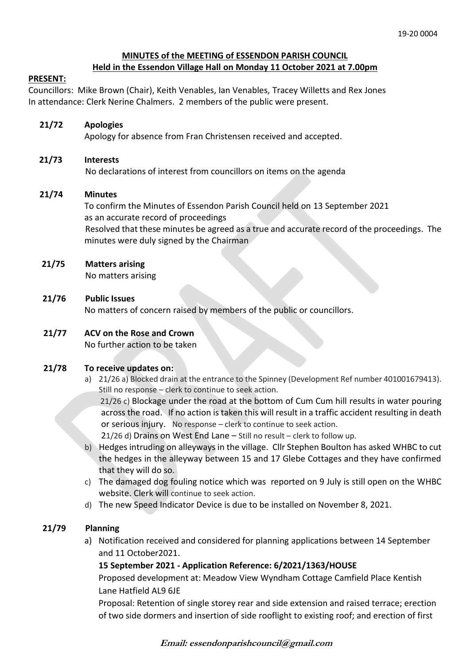# **MINUTES of the MEETING of ESSENDON PARISH COUNCIL Held in the Essendon Village Hall on Monday 11 October 2021 at 7.00pm**

#### **PRESENT:**

Councillors: Mike Brown (Chair), Keith Venables, Ian Venables, Tracey Willetts and Rex Jones In attendance: Clerk Nerine Chalmers. 2 members of the public were present.

# **21/72 Apologies**

Apology for absence from Fran Christensen received and accepted.

### **21/73 Interests**

No declarations of interest from councillors on items on the agenda

### **21/74 Minutes**

 To confirm the Minutes of Essendon Parish Council held on 13 September 2021 as an accurate record of proceedings Resolved that these minutes be agreed as a true and accurate record of the proceedings. The minutes were duly signed by the Chairman

### **21/75 Matters arising**

No matters arising

### **21/76 Public Issues**

No matters of concern raised by members of the public or councillors.

# **21/77 ACV on the Rose and Crown**

No further action to be taken

#### **21/78 To receive updates on:**

a) 21/26 a) Blocked drain at the entrance to the Spinney (Development Ref number 401001679413). Still no response – clerk to continue to seek action.

 21/26 c) Blockage under the road at the bottom of Cum Cum hill results in water pouring across the road. If no action is taken this will result in a traffic accident resulting in death or serious injury. No response – clerk to continue to seek action.

21/26 d) Drains on West End Lane – Still no result – clerk to follow up.

- b) Hedges intruding on alleyways in the village. Cllr Stephen Boulton has asked WHBC to cut the hedges in the alleyway between 15 and 17 Glebe Cottages and they have confirmed that they will do so.
- c) The damaged dog fouling notice which was reported on 9 July is still open on the WHBC website. Clerk will continue to seek action.
- d) The new Speed Indicator Device is due to be installed on November 8, 2021.

# **21/79 Planning**

a) Notification received and considered for planning applications between 14 September and 11 October2021.

# **15 September 2021 - Application Reference: 6/2021/1363/HOUSE**

Proposed development at: Meadow View Wyndham Cottage Camfield Place Kentish Lane Hatfield AL9 6JE

Proposal: Retention of single storey rear and side extension and raised terrace; erection of two side dormers and insertion of side rooflight to existing roof; and erection of first

**Email: essendonparishcouncil@gmail.com**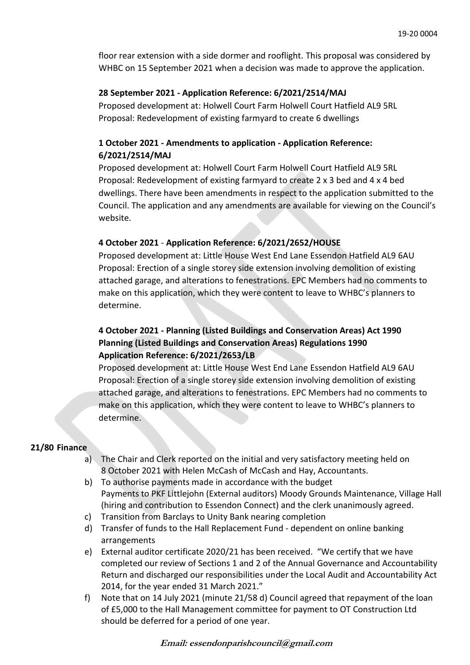floor rear extension with a side dormer and rooflight. This proposal was considered by WHBC on 15 September 2021 when a decision was made to approve the application.

### **28 September 2021 - Application Reference: 6/2021/2514/MAJ**

Proposed development at: Holwell Court Farm Holwell Court Hatfield AL9 5RL Proposal: Redevelopment of existing farmyard to create 6 dwellings

# **1 October 2021 - Amendments to application - Application Reference: 6/2021/2514/MAJ**

Proposed development at: Holwell Court Farm Holwell Court Hatfield AL9 5RL Proposal: Redevelopment of existing farmyard to create 2 x 3 bed and 4 x 4 bed dwellings. There have been amendments in respect to the application submitted to the Council. The application and any amendments are available for viewing on the Council's website.

# **4 October 2021** - **Application Reference: 6/2021/2652/HOUSE**

Proposed development at: Little House West End Lane Essendon Hatfield AL9 6AU Proposal: Erection of a single storey side extension involving demolition of existing attached garage, and alterations to fenestrations. EPC Members had no comments to make on this application, which they were content to leave to WHBC's planners to determine.

# **4 October 2021 - Planning (Listed Buildings and Conservation Areas) Act 1990 Planning (Listed Buildings and Conservation Areas) Regulations 1990 Application Reference: 6/2021/2653/LB**

Proposed development at: Little House West End Lane Essendon Hatfield AL9 6AU Proposal: Erection of a single storey side extension involving demolition of existing attached garage, and alterations to fenestrations. EPC Members had no comments to make on this application, which they were content to leave to WHBC's planners to determine.

#### **21/80 Finance**

- a) The Chair and Clerk reported on the initial and very satisfactory meeting held on 8 October 2021 with Helen McCash of McCash and Hay, Accountants.
- b) To authorise payments made in accordance with the budget Payments to PKF Littlejohn (External auditors) Moody Grounds Maintenance, Village Hall (hiring and contribution to Essendon Connect) and the clerk unanimously agreed.
- c) Transition from Barclays to Unity Bank nearing completion
- d) Transfer of funds to the Hall Replacement Fund dependent on online banking arrangements
- e) External auditor certificate 2020/21 has been received. "We certify that we have completed our review of Sections 1 and 2 of the Annual Governance and Accountability Return and discharged our responsibilities under the Local Audit and Accountability Act 2014, for the year ended 31 March 2021."
- f) Note that on 14 July 2021 (minute 21/58 d) Council agreed that repayment of the loan of £5,000 to the Hall Management committee for payment to OT Construction Ltd should be deferred for a period of one year.

**Email: essendonparishcouncil@gmail.com**